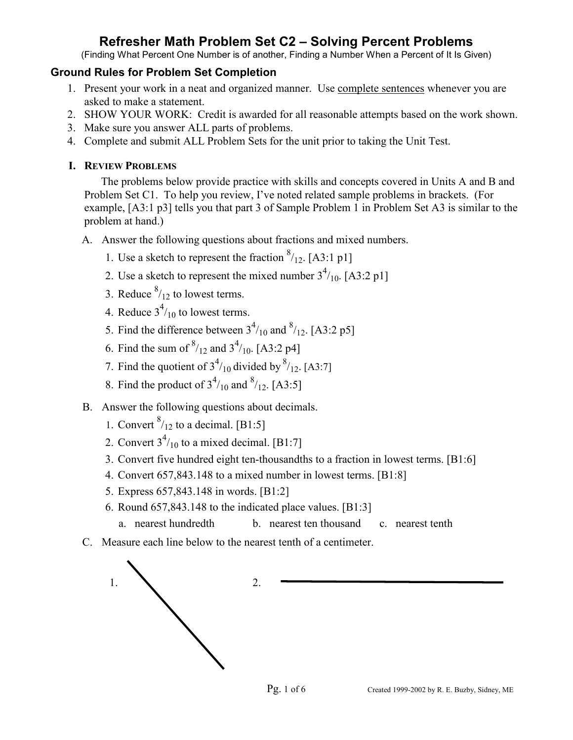(Finding What Percent One Number is of another, Finding a Number When a Percent of It Is Given)

#### **Ground Rules for Problem Set Completion**

- 1. Present your work in a neat and organized manner. Use complete sentences whenever you are asked to make a statement.
- 2. SHOW YOUR WORK: Credit is awarded for all reasonable attempts based on the work shown.
- 3. Make sure you answer ALL parts of problems.
- 4. Complete and submit ALL Problem Sets for the unit prior to taking the Unit Test.

### **I. REVIEW PROBLEMS**

The problems below provide practice with skills and concepts covered in Units A and B and Problem Set C1. To help you review, I've noted related sample problems in brackets. (For example, [A3:1 p3] tells you that part 3 of Sample Problem 1 in Problem Set A3 is similar to the problem at hand.)

- A. Answer the following questions about fractions and mixed numbers.
	- 1. Use a sketch to represent the fraction  $\frac{8}{12}$ . [A3:1 p1]
	- 2. Use a sketch to represent the mixed number  $3^4/_{10}$ . [A3:2 p1]
	- 3. Reduce  $\frac{8}{12}$  to lowest terms.
	- 4. Reduce  $3<sup>4</sup>/10$  to lowest terms.
	- 5. Find the difference between  $3<sup>4</sup>/10$  and  $<sup>8</sup>/12$ . [A3:2 p5]</sup>
	- 6. Find the sum of  $^{8}/_{12}$  and  $3^{4}/_{10}$ . [A3:2 p4]
	- 7. Find the quotient of  $3<sup>4</sup>/10$  divided by  $<sup>8</sup>/12$ . [A3:7]</sup>
	- 8. Find the product of  $3^{4/10}$  and  $8^{1/12}$ . [A3:5]
- B. Answer the following questions about decimals.
	- 1. Convert  $\frac{8}{12}$  to a decimal. [B1:5]
	- 2. Convert  $3^4/_{10}$  to a mixed decimal. [B1:7]
		- 3. Convert five hundred eight ten-thousandths to a fraction in lowest terms. [B1:6]
		- 4. Convert 657,843.148 to a mixed number in lowest terms. [B1:8]
		- 5. Express 657,843.148 in words. [B1:2]
		- 6. Round 657,843.148 to the indicated place values. [B1:3]
			- a. nearest hundredth b. nearest ten thousand c. nearest tenth
- C. Measure each line below to the nearest tenth of a centimeter.

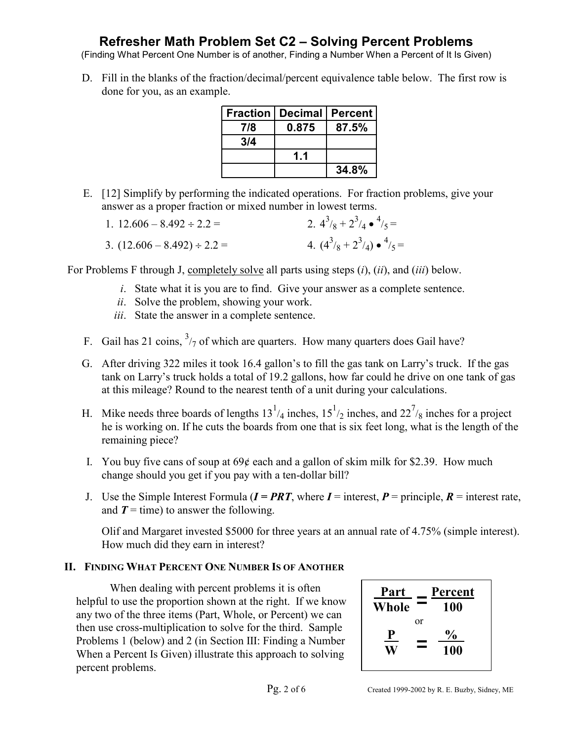(Finding What Percent One Number is of another, Finding a Number When a Percent of It Is Given)

 D. Fill in the blanks of the fraction/decimal/percent equivalence table below. The first row is done for you, as an example.

|     | <b>Fraction   Decimal  </b> | <b>Percent</b> |
|-----|-----------------------------|----------------|
| 7/8 | 0.875                       | 87.5%          |
| 3/4 |                             |                |
|     | 11                          |                |
|     |                             | 34.8%          |

 E. [12] Simplify by performing the indicated operations. For fraction problems, give your answer as a proper fraction or mixed number in lowest terms.

| 1. $12.606 - 8.492 \div 2.2 =$   | 2. $4^3/8 + 2^3/4 \cdot \frac{4}{5} =$   |
|----------------------------------|------------------------------------------|
| 3. $(12.606 - 8.492) \div 2.2 =$ | 4. $(4^3/8 + 2^3/4) \cdot \frac{4}{5} =$ |

For Problems F through J, completely solve all parts using steps (*i*), (*ii*), and (*iii*) below.

- *i*. State what it is you are to find. Give your answer as a complete sentence.
- *ii*. Solve the problem, showing your work.
- *iii*. State the answer in a complete sentence.
- F. Gail has 21 coins,  $\frac{3}{7}$  of which are quarters. How many quarters does Gail have?
- G. After driving 322 miles it took 16.4 gallon's to fill the gas tank on Larry's truck. If the gas tank on Larry's truck holds a total of 19.2 gallons, how far could he drive on one tank of gas at this mileage? Round to the nearest tenth of a unit during your calculations.
- H. Mike needs three boards of lengths  $13^{1/4}$  inches,  $15^{1/2}$  inches, and  $22^{7/8}$  inches for a project he is working on. If he cuts the boards from one that is six feet long, what is the length of the remaining piece?
	- I. You buy five cans of soup at  $69¢$  each and a gallon of skim milk for \$2.39. How much change should you get if you pay with a ten-dollar bill?
	- J. Use the Simple Interest Formula  $(I = PRT)$ , where  $I =$  interest,  $P =$  principle,  $R =$  interest rate, and  $T =$  time) to answer the following.

 Olif and Margaret invested \$5000 for three years at an annual rate of 4.75% (simple interest). How much did they earn in interest?

#### **II. FINDING WHAT PERCENT ONE NUMBER IS OF ANOTHER**

When dealing with percent problems it is often helpful to use the proportion shown at the right. If we know any two of the three items (Part, Whole, or Percent) we can then use cross-multiplication to solve for the third. Sample Problems 1 (below) and 2 (in Section III: Finding a Number When a Percent Is Given) illustrate this approach to solving percent problems.

| Part<br>Whole |    | Percent<br>100        |
|---------------|----|-----------------------|
| $\mathbf{e}$  | or | $\frac{6}{10}$<br>100 |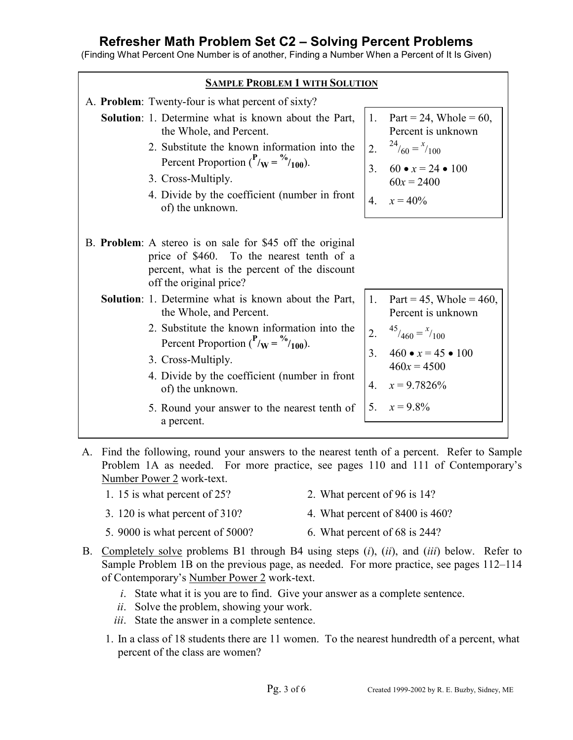(Finding What Percent One Number is of another, Finding a Number When a Percent of It Is Given)

| <b>SAMPLE PROBLEM 1 WITH SOLUTION</b>                                                                                                                                                                                                                                                                                                            |                                                                                                                                                                                                                        |  |  |  |  |
|--------------------------------------------------------------------------------------------------------------------------------------------------------------------------------------------------------------------------------------------------------------------------------------------------------------------------------------------------|------------------------------------------------------------------------------------------------------------------------------------------------------------------------------------------------------------------------|--|--|--|--|
| A. Problem: Twenty-four is what percent of sixty?                                                                                                                                                                                                                                                                                                |                                                                                                                                                                                                                        |  |  |  |  |
| <b>Solution</b> : 1. Determine what is known about the Part,<br>the Whole, and Percent.<br>2. Substitute the known information into the<br>Percent Proportion $(^{P}_{W} = \frac{\%}{100})$ .<br>3. Cross-Multiply.<br>4. Divide by the coefficient (number in front                                                                             | Part = 24, Whole = $60$ ,<br>1.<br>Percent is unknown<br>$^{24}/_{60} = x/_{100}$<br>2.<br>$60 \bullet x = 24 \bullet 100$<br>3 <sub>1</sub><br>$60x = 2400$<br>4. $x = 40\%$                                          |  |  |  |  |
| of) the unknown.<br>B. <b>Problem</b> : A stereo is on sale for \$45 off the original<br>price of \$460. To the nearest tenth of a<br>percent, what is the percent of the discount<br>off the original price?                                                                                                                                    |                                                                                                                                                                                                                        |  |  |  |  |
| Solution: 1. Determine what is known about the Part,<br>the Whole, and Percent.<br>2. Substitute the known information into the<br>Percent Proportion $\binom{P}{W} = \frac{\%}{100}$ .<br>3. Cross-Multiply.<br>4. Divide by the coefficient (number in front<br>of) the unknown.<br>5. Round your answer to the nearest tenth of<br>a percent. | Part = 45, Whole = 460,<br>$1_{\cdot}$<br>Percent is unknown<br>$45/460 = x/100$<br>2.<br>460 $\bullet x = 45 \bullet 100$<br>3 <sub>1</sub><br>$460x = 4500$<br>$x = 9.7826\%$<br>$\overline{4}$<br>$x = 9.8\%$<br>5. |  |  |  |  |

 A. Find the following, round your answers to the nearest tenth of a percent. Refer to Sample Problem 1A as needed. For more practice, see pages 110 and 111 of Contemporary's Number Power 2 work-text.

- 1. 15 is what percent of 25? 2. What percent of 96 is 14?
- 3. 120 is what percent of 310? 4. What percent of 8400 is 460?
- 5. 9000 is what percent of 5000? 6. What percent of 68 is 244?
- B. Completely solve problems B1 through B4 using steps (*i*), (*ii*), and (*iii*) below. Refer to Sample Problem 1B on the previous page, as needed. For more practice, see pages 112–114 of Contemporary's Number Power 2 work-text.
	- *i*. State what it is you are to find. Give your answer as a complete sentence.
	- *ii*. Solve the problem, showing your work.
	- *iii*. State the answer in a complete sentence.
	- 1. In a class of 18 students there are 11 women. To the nearest hundredth of a percent, what percent of the class are women?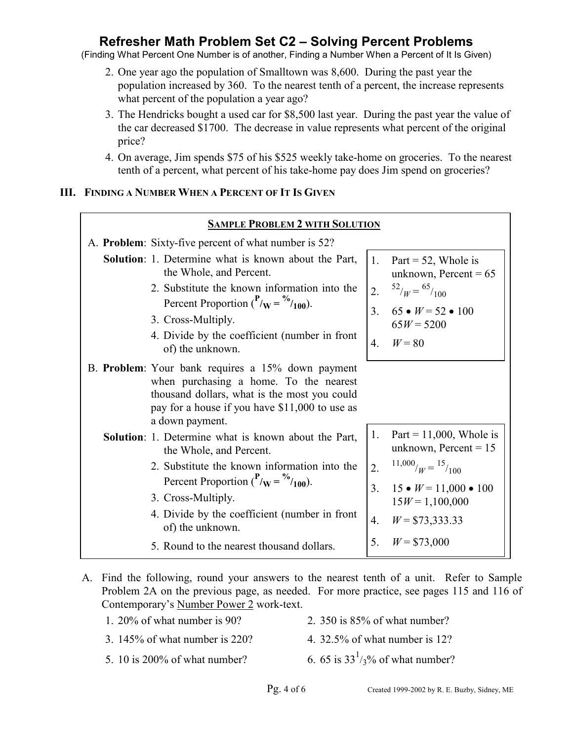(Finding What Percent One Number is of another, Finding a Number When a Percent of It Is Given)

- 2. One year ago the population of Smalltown was 8,600. During the past year the population increased by 360. To the nearest tenth of a percent, the increase represents what percent of the population a year ago?
- 3. The Hendricks bought a used car for \$8,500 last year. During the past year the value of the car decreased \$1700. The decrease in value represents what percent of the original price?
- 4. On average, Jim spends \$75 of his \$525 weekly take-home on groceries. To the nearest tenth of a percent, what percent of his take-home pay does Jim spend on groceries?

#### **III. FINDING A NUMBER WHEN A PERCENT OF IT IS GIVEN**

| <b>SAMPLE PROBLEM 2 WITH SOLUTION</b>                                                                                                                                                                            |               |                                                             |  |  |  |
|------------------------------------------------------------------------------------------------------------------------------------------------------------------------------------------------------------------|---------------|-------------------------------------------------------------|--|--|--|
| A. <b>Problem</b> : Sixty-five percent of what number is 52?                                                                                                                                                     |               |                                                             |  |  |  |
| <b>Solution</b> : 1. Determine what is known about the Part,<br>the Whole, and Percent.                                                                                                                          |               | 1. Part = 52, Whole is<br>unknown, Percent = $65$           |  |  |  |
| 2. Substitute the known information into the<br>Percent Proportion $\binom{P}{w} = \frac{\%}{100}$ .                                                                                                             |               | 2. $\frac{52}{W} = \frac{65}{100}$                          |  |  |  |
| 3. Cross-Multiply.                                                                                                                                                                                               | $\mathcal{E}$ | $65 \bullet W = 52 \bullet 100$<br>$65W = 5200$             |  |  |  |
| 4. Divide by the coefficient (number in front<br>of) the unknown.                                                                                                                                                | $4_{\cdot}$   | $W=80$                                                      |  |  |  |
| B. Problem: Your bank requires a 15% down payment<br>when purchasing a home. To the nearest<br>thousand dollars, what is the most you could<br>pay for a house if you have \$11,000 to use as<br>a down payment. |               |                                                             |  |  |  |
| <b>Solution</b> : 1. Determine what is known about the Part,<br>the Whole, and Percent.                                                                                                                          | 1.            | Part = $11,000$ , Whole is<br>unknown, Percent = $15$       |  |  |  |
| 2. Substitute the known information into the<br>Percent Proportion ( $P_{\text{W}} = \frac{\%}{100}$ ).                                                                                                          |               | 2. $\frac{11,000}{W} = \frac{15}{100}$                      |  |  |  |
| 3. Cross-Multiply.                                                                                                                                                                                               |               | 3. $15 \bullet W = 11,000 \bullet 100$<br>$15W = 1,100,000$ |  |  |  |
| 4. Divide by the coefficient (number in front<br>of) the unknown.                                                                                                                                                | 4.            | $W = $73,333.33$                                            |  |  |  |
| 5. Round to the nearest thousand dollars.                                                                                                                                                                        | 5.            | $W = $73,000$                                               |  |  |  |

- A. Find the following, round your answers to the nearest tenth of a unit. Refer to Sample Problem 2A on the previous page, as needed. For more practice, see pages 115 and 116 of Contemporary's Number Power 2 work-text.
	- 1. 20% of what number is 90? 2. 350 is 85% of what number?
	- 3. 145% of what number is 220? 4. 32.5% of what number is 12?
	- 5. 10 is  $200\%$  of what number?
- 6. 65 is  $33<sup>1</sup>/3$ % of what number?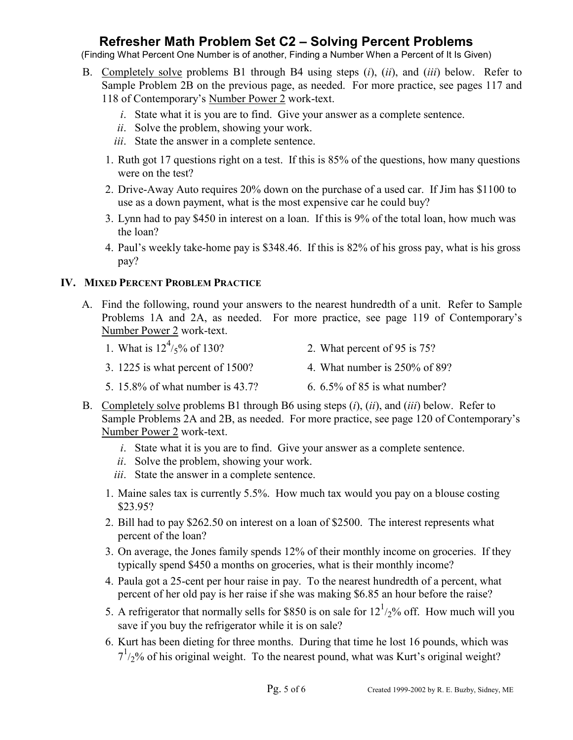(Finding What Percent One Number is of another, Finding a Number When a Percent of It Is Given)

- B. Completely solve problems B1 through B4 using steps (*i*), (*ii*), and (*iii*) below. Refer to Sample Problem 2B on the previous page, as needed. For more practice, see pages 117 and 118 of Contemporary's Number Power 2 work-text.
	- *i*. State what it is you are to find. Give your answer as a complete sentence.
	- *ii*. Solve the problem, showing your work.
	- *iii*. State the answer in a complete sentence.
	- 1. Ruth got 17 questions right on a test. If this is 85% of the questions, how many questions were on the test?
	- 2. Drive-Away Auto requires 20% down on the purchase of a used car. If Jim has \$1100 to use as a down payment, what is the most expensive car he could buy?
	- 3. Lynn had to pay \$450 in interest on a loan. If this is 9% of the total loan, how much was the loan?
	- 4. Paul's weekly take-home pay is \$348.46. If this is 82% of his gross pay, what is his gross pay?

#### **IV. MIXED PERCENT PROBLEM PRACTICE**

- A. Find the following, round your answers to the nearest hundredth of a unit. Refer to Sample Problems 1A and 2A, as needed. For more practice, see page 119 of Contemporary's Number Power 2 work-text.
	- 1. What is  $12^4$ / $5\%$  of 130? 2. What percent of 95 is 75?
	- 3. 1225 is what percent of 1500? 4. What number is 250% of 89?
	- 5. 15.8% of what number is 43.7? 6. 6.5% of 85 is what number?
- B. Completely solve problems B1 through B6 using steps (*i*), (*ii*), and (*iii*) below. Refer to Sample Problems 2A and 2B, as needed. For more practice, see page 120 of Contemporary's Number Power 2 work-text.
	- *i*. State what it is you are to find. Give your answer as a complete sentence.
	- *ii*. Solve the problem, showing your work.
	- *iii*. State the answer in a complete sentence.
	- 1. Maine sales tax is currently 5.5%. How much tax would you pay on a blouse costing \$23.95?
	- 2. Bill had to pay \$262.50 on interest on a loan of \$2500. The interest represents what percent of the loan?
	- 3. On average, the Jones family spends 12% of their monthly income on groceries. If they typically spend \$450 a months on groceries, what is their monthly income?
	- 4. Paula got a 25-cent per hour raise in pay. To the nearest hundredth of a percent, what percent of her old pay is her raise if she was making \$6.85 an hour before the raise?
	- 5. A refrigerator that normally sells for \$850 is on sale for  $12^{1/2}$ % off. How much will you save if you buy the refrigerator while it is on sale?
		- 6. Kurt has been dieting for three months. During that time he lost 16 pounds, which was  $7<sup>1</sup>/2$ % of his original weight. To the nearest pound, what was Kurt's original weight?